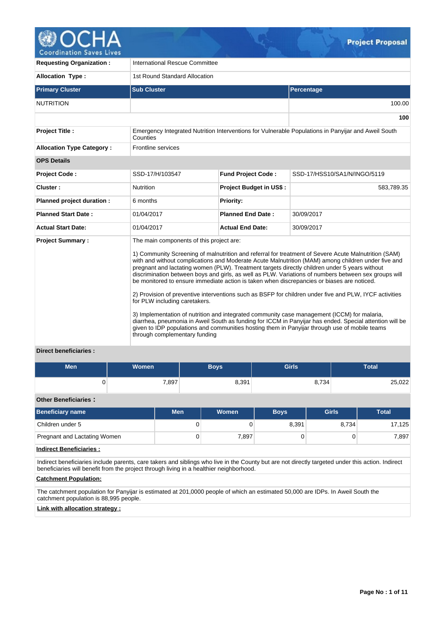

**Requesting Organization : | International Rescue Committee** Allocation Type : 1st Round Standard Allocation **Primary Cluster Sub Cluster Sub Cluster** Sub Cluster Sub Cluster Sub Cluster Sub Cluster Sub Cluster Sub Cluster NUTRITION 100.00 **100 Project Title :** Emergency Integrated Nutrition Interventions for Vulnerable Populations in Panyijar and Aweil South **Counties Allocation Type Category :** Frontline services **OPS Details Project Code :** SSD-17/H/103547 **Fund Project Code :** SSD-17/HSS10/SA1/N/INGO/5119 **Cluster :** The Superson of Project Budget in US\$ : 583,789.35 **Planned project duration :** 6 months **Planned Priority: Planned Start Date :** 01/04/2017 **Planned End Date :** 30/09/2017 **Actual Start Date:** 01/04/2017 **Actual End Date:** 30/09/2017 **Project Summary :** The main components of this project are: 1) Community Screening of malnutrition and referral for treatment of Severe Acute Malnutrition (SAM) with and without complications and Moderate Acute Malnutrition (MAM) among children under five and pregnant and lactating women (PLW). Treatment targets directly children under 5 years without discrimination between boys and girls, as well as PLW. Variations of numbers between sex groups will be monitored to ensure immediate action is taken when discrepancies or biases are noticed. 2) Provision of preventive interventions such as BSFP for children under five and PLW, IYCF activities for PLW including caretakers. 3) Implementation of nutrition and integrated community case management (ICCM) for malaria, diarrhea, pneumonia in Aweil South as funding for ICCM in Panyijar has ended. Special attention will be given to IDP populations and communities hosting them in Panyijar through use of mobile teams through complementary funding

# **Direct beneficiaries :**

| <b>Men</b>                     | <b>Women</b>                                                                                                                                                                                                                                 |            | <b>Boys</b> |              | <b>Girls</b> |              |        | <b>Total</b> |  |
|--------------------------------|----------------------------------------------------------------------------------------------------------------------------------------------------------------------------------------------------------------------------------------------|------------|-------------|--------------|--------------|--------------|--------|--------------|--|
|                                |                                                                                                                                                                                                                                              | 7,897      |             | 8,391        |              | 8,734        | 25,022 |              |  |
| <b>Other Beneficiaries:</b>    |                                                                                                                                                                                                                                              |            |             |              |              |              |        |              |  |
| <b>Beneficiary name</b>        |                                                                                                                                                                                                                                              | <b>Men</b> |             | <b>Women</b> | <b>Boys</b>  | <b>Girls</b> |        | <b>Total</b> |  |
| Children under 5               |                                                                                                                                                                                                                                              |            | 0           | $\Omega$     | 8,391        |              | 8,734  | 17,125       |  |
| Pregnant and Lactating Women   |                                                                                                                                                                                                                                              |            | 0           | 7,897        | 0            |              | 0      | 7,897        |  |
| <b>Indirect Beneficiaries:</b> |                                                                                                                                                                                                                                              |            |             |              |              |              |        |              |  |
|                                | Indirect beneficiaries include parents, care takers and siblings who live in the County but are not directly targeted under this action. Indirect<br>beneficiaries will benefit from the project through living in a healthier neighborhood. |            |             |              |              |              |        |              |  |
| <b>Catchment Population:</b>   |                                                                                                                                                                                                                                              |            |             |              |              |              |        |              |  |

The catchment population for Panyijar is estimated at 201,0000 people of which an estimated 50,000 are IDPs. In Aweil South the catchment population is 88,995 people.

**Link with allocation strategy :**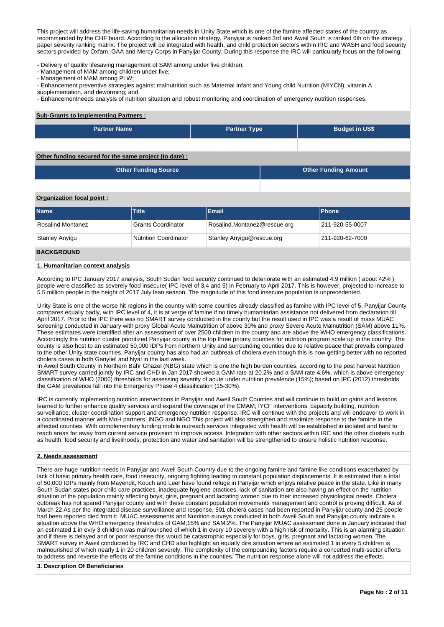This project will address the life-saving humanitarian needs in Unity State which is one of the famine affected states of the country as recommended by the CHF board. According to the allocation strategy, Panyijar is ranked 3rd and Aweil South is ranked 6th on the strategy paper severity ranking matrix. The project will be integrated with health, and child protection sectors within IRC and WASH and food security sectors provided by Oxfam, GAA and Mercy Corps in Panyijar County. During this response the IRC will particularly focus on the following:

- Delivery of quality lifesaving management of SAM among under five children;

- Management of MAM among children under five;

- Management of MAM among PLW;

- Enhancement preventive strategies against malnutrition such as Maternal Infant and Young child Nutrition (MIYCN), vitamin A

supplementation, and deworming; and

- Enhancementneeds analysis of nutrition situation and robust monitoring and coordination of emergency nutrition responses.

### **Sub-Grants to Implementing Partners :**

| <b>Partner Name</b>                                          | <b>Partner Type</b> | <b>Budget in US\$</b> |
|--------------------------------------------------------------|---------------------|-----------------------|
|                                                              |                     |                       |
| $Oth$ funding conurad for the came project (to date) $\cdot$ |                     |                       |

### **Other funding secured for the same project (to date) :**

| <b>Other Funding Source</b> | <b>Other Funding Amount</b> |
|-----------------------------|-----------------------------|
|                             |                             |

### **Organization focal point :**

| <b>Name</b>              | Title <sup>1</sup>           | Email                        | <b>IPhone</b>   |
|--------------------------|------------------------------|------------------------------|-----------------|
| <b>Rosalind Montanez</b> | <b>Grants Coordinator</b>    | Rosalind.Montanez@rescue.org | 211-920-55-0007 |
| Stanley Anyigu           | <b>Nutrition Coordinator</b> | Stanley.Anyigu@rescue.org    | 211-920-62-7000 |

### **BACKGROUND**

### **1. Humanitarian context analysis**

According to IPC January 2017 analysis, South Sudan food security continued to deteriorate with an estimated 4.9 million ( about 42% ) people were classified as severely food insecure( IPC level of 3,4 and 5) in February to April 2017. This is however, projected to increase to 5.5 million people in the height of 2017 July lean season. The magnitude of this food insecure population is unprecedented.

Unity State is one of the worse hit regions in the country with some counties already classified as famine with IPC level of 5. Panyijar County compares equally badly, with IPC level of 4, it is at verge of famine if no timely humanitarian assistance not delivered from declaration till April 2017. Prior to the IPC there was no SMART survey conducted in the county but the result used in IPC was a result of mass MUAC screening conducted in January with proxy Global Acute Malnutrition of above 30% and proxy Severe Acute Malnutrition (SAM) above 11%. These estimates were identified after an assessment of over 2500 children in the county and are above the WHO emergency classifications. Accordingly the nutrition cluster prioritized Panyijar county in the top three priority counties for nutrition program scale up in the country. The county is also host to an estimated 50,000 IDPs from northern Unity and surrounding counties due to relative peace that prevails compared to the other Unity state counties. Panyijar county has also had an outbreak of cholera even though this is now getting better with no reported cholera cases in both Ganyliel and Nyal in the last week.

In Aweil South County in Northern Bahr Ghazel (NBG) state which is one the high burden counties, according to the post harvest Nutrition SMART survey carried jointly by IRC and CHD in Jan 2017 showed a GAM rate at 20.2% and a SAM rate 4.6%, which is above emergency classification of WHO (2006) thresholds for assessing severity of acute under nutrition prevalence (15%); based on IPC (2012) thresholds the GAM prevalence fall into the Emergency Phase 4 classification (15-30%).

IRC is currently implementing nutrition interventions in Panyijar and Aweil South Counties and will continue to build on gains and lessons learned to further enhance quality services and expand the coverage of the CMAM; IYCF interventions, capacity building, nutrition surveillance, cluster coordination support and emergency nutrition response. IRC will continue with the projects and will endeavor to work in a coordinated manner with MoH partners, INGO and NGO This project will also strengthen and maximize response to the famine in the affected counties. With complementary funding mobile outreach services integrated with health will be established in isolated and hard to reach areas far away from current service provision to improve access. Integration with other sectors within IRC and the other clusters such as health, food security and livelihoods, protection and water and sanitation will be strengthened to ensure holistic nutrition response.

### **2. Needs assessment**

There are huge nutrition needs in Panyijar and Aweil South Country due to the ongoing famine and famine like conditions exacerbated by lack of basic primary health care, food insecurity, ongoing fighting leading to constant population displacements. It is estimated that a total of 50,000 IDPs mainly from Mayendit, Kouch and Leer have found refuge in Panyijar which enjoys relative peace in the state. Like in many South Sudan states poor child care practices, inadequate hygiene practices, lack of sanitation are also having an effect on the nutrition situation of the population mainly affecting boys, girls, pregnant and lactating women due to their increased physiological needs. Cholera outbreak has not spared Panyijar county and with these constant population movements management and control is proving difficult. As of March 22 As per the integrated disease surveillance and response, 501 cholera cases had been reported in Panyijar county and 25 people had been reported died from it. MUAC assessments and Nutrition surveys conducted in both Aweil South and Panyijar county indicate a situation above the WHO emergency thresholds of GAM;15% and SAM;2%. The Panyijar MUAC assessment done in January indicated that an estimated 1 in evry 3 children was malnourished of which 1 in every 10 severely with a high risk of mortality. This is an alarming situation and if there is delayed and or poor response this would be catastrophic especially for boys, girls, pregnant and lactating women. The SMART survey in Aweil conducted by IRC and CHD also highlight an equally dire situation where an estimated 1 in every 5 children is malnourished of which nearly 1 in 20 children severely. The complexity of the compounding factors require a concerted multi-sector efforts to address and reverse the effects of the famine conditions in the counties. The nutrition response alone will not address the effects.

#### **3. Description Of Beneficiaries**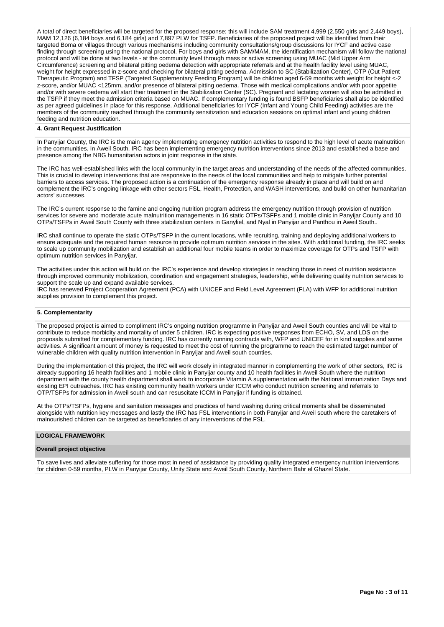A total of direct beneficiaries will be targeted for the proposed response; this will include SAM treatment 4,999 (2,550 girls and 2,449 boys), MAM 12,126 (6,184 boys and 6,184 girls) and 7,897 PLW for TSFP. Beneficiaries of the proposed project will be identified from their targeted Boma or villages through various mechanisms including community consultations/group discussions for IYCF and active case finding through screening using the national protocol. For boys and girls with SAM/MAM, the identification mechanism will follow the national protocol and will be done at two levels - at the community level through mass or active screening using MUAC (Mid Upper Arm Circumference) screening and bilateral pitting oedema detection with appropriate referrals and at the health facility level using MUAC, weight for height expressed in z-score and checking for bilateral pitting oedema. Admission to SC (Stabilization Center), OTP (Out Patient Therapeutic Program) and TFSP (Targeted Supplementary Feeding Program) will be children aged 6-59 months with weight for height <-2 z-score, and/or MUAC <125mm, and/or presence of bilateral pitting oedema. Those with medical complications and/or with poor appetite and/or with severe oedema will start their treatment in the Stabilization Center (SC). Pregnant and lactating women will also be admitted in the TSFP if they meet the admission criteria based on MUAC. If complementary funding is found BSFP beneficiaries shall also be identified as per agreed guidelines in place for this response. Additional beneficiaries for IYCF (Infant and Young Child Feeding) activities are the members of the community reached through the community sensitization and education sessions on optimal infant and young children feeding and nutrition education.

#### **4. Grant Request Justification**

In Panyijar County, the IRC is the main agency implementing emergency nutrition activities to respond to the high level of acute malnutrition in the communities. In Aweil South, IRC has been implementing emergency nutrition interventions since 2013 and established a base and presence among the NBG humanitarian actors in joint response in the state.

The IRC has well-established links with the local community in the target areas and understanding of the needs of the affected communities. This is crucial to develop interventions that are responsive to the needs of the local communities and help to mitigate further potential barriers to access services. The proposed action is a continuation of the emergency response already in place and will build on and complement the IRC's ongoing linkage with other sectors FSL, Health, Protection, and WASH interventions, and build on other humanitarian actors' successes.

The IRC's current response to the famine and ongoing nutrition program address the emergency nutrition through provision of nutrition services for severe and moderate acute malnutrition managements in 16 static OTPs/TSFPs and 1 mobile clinic in Panyijar County and 10 OTPs/TSFPs in Aweil South County with three stabilization centers in Ganyliel, and Nyal in Panyijar and Panthou in Aweil South..

IRC shall continue to operate the static OTPs/TSFP in the current locations, while recruiting, training and deploying additional workers to ensure adequate and the required human resource to provide optimum nutrition services in the sites. With additional funding, the IRC seeks to scale up community mobilization and establish an additional four mobile teams in order to maximize coverage for OTPs and TSFP with optimum nutrition services in Panyijar.

The activities under this action will build on the IRC's experience and develop strategies in reaching those in need of nutrition assistance through improved community mobilization, coordination and engagement strategies, leadership, while delivering quality nutrition services to support the scale up and expand available services.

IRC has renewed Project Cooperation Agreement (PCA) with UNICEF and Field Level Agreement (FLA) with WFP for additional nutrition supplies provision to complement this project.

### **5. Complementarity**

The proposed project is aimed to compliment IRC's ongoing nutrition programme in Panyijar and Aweil South counties and will be vital to contribute to reduce morbidity and mortality of under 5 children. IRC is expecting positive responses from ECHO, SV, and LDS on the proposals submitted for complementary funding. IRC has currently running contracts with, WFP and UNICEF for in kind supplies and some activities. A significant amount of money is requested to meet the cost of running the programme to reach the estimated target number of vulnerable children with quality nutrition intervention in Panyijar and Aweil south counties.

During the implementation of this project, the IRC will work closely in integrated manner in complementing the work of other sectors, IRC is already supporting 16 health facilities and 1 mobile clinic in Panyijar county and 10 health facilities in Aweil South where the nutrition department with the county health department shall work to incorporate Vitamin A supplementation with the National immunization Days and existing EPI outreaches. IRC has existing community health workers under ICCM who conduct nutrition screening and referrals to OTP/TSFPs for admission in Aweil south and can resuscitate ICCM in Panyijar if funding is obtained.

At the OTPs/TSFPs, hygiene and sanitation messages and practices of hand washing during critical moments shall be disseminated alongside with nutrition key messages and lastly the IRC has FSL interventions in both Panyijar and Aweil south where the caretakers of malnourished children can be targeted as beneficiaries of any interventions of the FSL.

### **LOGICAL FRAMEWORK**

#### **Overall project objective**

To save lives and alleviate suffering for those most in need of assistance by providing quality integrated emergency nutrition interventions for children 0-59 months, PLW in Panyijar County, Unity State and Aweil South County, Northern Bahr el Ghazel State.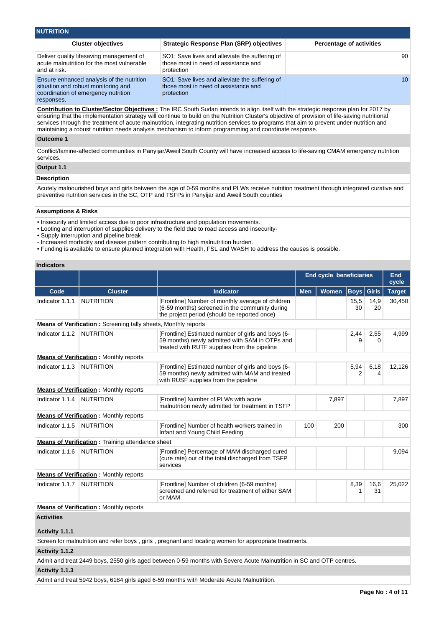| <b>NUTRITION</b>                                                                                                                      |                                                                                                      |                                 |
|---------------------------------------------------------------------------------------------------------------------------------------|------------------------------------------------------------------------------------------------------|---------------------------------|
| <b>Cluster objectives</b>                                                                                                             | <b>Strategic Response Plan (SRP) objectives</b>                                                      | <b>Percentage of activities</b> |
| Deliver quality lifesaving management of<br>acute malnutrition for the most vulnerable<br>and at risk.                                | SO1: Save lives and alleviate the suffering of<br>those most in need of assistance and<br>protection | 90                              |
| Ensure enhanced analysis of the nutrition<br>situation and robust monitoring and<br>coordination of emergency nutrition<br>responses. | SO1: Save lives and alleviate the suffering of<br>those most in need of assistance and<br>protection | 10 <sup>°</sup>                 |

**Contribution to Cluster/Sector Objectives :** The IRC South Sudan intends to align itself with the strategic response plan for 2017 by ensuring that the implementation strategy will continue to build on the Nutrition Cluster's objective of provision of life-saving nutritional services through the treatment of acute malnutrition, integrating nutrition services to programs that aim to prevent under-nutrition and maintaining a robust nutrition needs analysis mechanism to inform programming and coordinate response.

### **Outcome 1**

Conflict/famine-affected communities in Panyijar/Aweil South County will have increased access to life-saving CMAM emergency nutrition services.

### **Output 1.1**

#### **Description**

Acutely malnourished boys and girls between the age of 0-59 months and PLWs receive nutrition treatment through integrated curative and preventive nutrition services in the SC, OTP and TSFPs in Panyijar and Aweil South counties

#### **Assumptions & Risks**

• Insecurity and limited access due to poor infrastructure and population movements.

• Looting and interruption of supplies delivery to the field due to road access and insecurity-

• Supply interruption and pipeline break

- Increased morbidity and disease pattern contributing to high malnutrition burden.

• Funding is available to ensure planned integration with Health, FSL and WASH to address the causes is possible.

### **Indicators**

|                   |                                                                |                                                                                                                                                      | <b>End cycle beneficiaries</b> |       |            |                  | <b>End</b><br>cycle |  |
|-------------------|----------------------------------------------------------------|------------------------------------------------------------------------------------------------------------------------------------------------------|--------------------------------|-------|------------|------------------|---------------------|--|
| Code              | <b>Cluster</b>                                                 | <b>Indicator</b>                                                                                                                                     | <b>Men</b><br>Women            |       | Boys       | <b>Girls</b>     | <b>Target</b>       |  |
| Indicator 1.1.1   | <b>NUTRITION</b>                                               | [Frontline] Number of monthly average of children<br>(6-59 months) screened in the community during<br>the project period (should be reported once)  |                                |       | 15,5<br>30 | 14,9<br>20       | 30,450              |  |
|                   | Means of Verification: Screening tally sheets, Monthly reports |                                                                                                                                                      |                                |       |            |                  |                     |  |
| Indicator 1.1.2   | <b>NUTRITION</b>                                               | [Frontline] Estimated number of girls and boys (6-<br>59 months) newly admitted with SAM in OTPs and<br>treated with RUTF supplies from the pipeline |                                |       | 2,44<br>9  | 2,55<br>$\Omega$ | 4,999               |  |
|                   | <b>Means of Verification: Monthly reports</b>                  |                                                                                                                                                      |                                |       |            |                  |                     |  |
| Indicator 1.1.3   | <b>NUTRITION</b>                                               | [Frontline] Estimated number of girls and boys (6-<br>59 months) newly admitted with MAM and treated<br>with RUSF supplies from the pipeline         |                                |       | 5,94<br>2  | 6,18<br>4        | 12,126              |  |
|                   | <b>Means of Verification:</b> Monthly reports                  |                                                                                                                                                      |                                |       |            |                  |                     |  |
| Indicator 1.1.4   | <b>NUTRITION</b>                                               | [Frontline] Number of PLWs with acute<br>malnutrition newly admitted for treatment in TSFP                                                           |                                | 7,897 |            |                  | 7,897               |  |
|                   | <b>Means of Verification: Monthly reports</b>                  |                                                                                                                                                      |                                |       |            |                  |                     |  |
| Indicator 1.1.5   | <b>NUTRITION</b>                                               | [Frontline] Number of health workers trained in<br>Infant and Young Child Feeding                                                                    | 100                            | 200   |            |                  | 300                 |  |
|                   | <b>Means of Verification:</b> Training attendance sheet        |                                                                                                                                                      |                                |       |            |                  |                     |  |
| Indicator 1.1.6   | <b>NUTRITION</b>                                               | [Frontline] Percentage of MAM discharged cured<br>(cure rate) out of the total discharged from TSFP<br>services                                      |                                |       |            |                  | 9,094               |  |
|                   | <b>Means of Verification:</b> Monthly reports                  |                                                                                                                                                      |                                |       |            |                  |                     |  |
| Indicator 1.1.7   | <b>NUTRITION</b>                                               | [Frontline] Number of children (6-59 months)<br>screened and referred for treatment of either SAM<br>or MAM                                          |                                |       | 8,39<br>1  | 16,6<br>31       | 25,022              |  |
|                   | <b>Means of Verification: Monthly reports</b>                  |                                                                                                                                                      |                                |       |            |                  |                     |  |
| <b>Activities</b> |                                                                |                                                                                                                                                      |                                |       |            |                  |                     |  |
| Activity 1.1.1    |                                                                |                                                                                                                                                      |                                |       |            |                  |                     |  |

Screen for malnutrition and refer boys , girls , pregnant and locating women for appropriate treatments.

#### **Activity 1.1.2**

Admit and treat 2449 boys, 2550 girls aged between 0-59 months with Severe Acute Malnutrition in SC and OTP centres.

**Activity 1.1.3** 

Admit and treat 5942 boys, 6184 girls aged 6-59 months with Moderate Acute Malnutrition.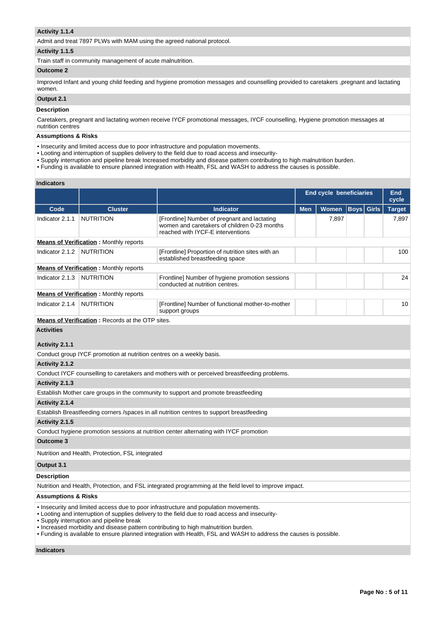### **Activity 1.1.4**

Admit and treat 7897 PLWs with MAM using the agreed national protocol.

## **Activity 1.1.5**

Train staff in community management of acute malnutrition.

### **Outcome 2**

Improved Infant and young child feeding and hygiene promotion messages and counselling provided to caretakers ,pregnant and lactating women.

### **Output 2.1**

### **Description**

Caretakers, pregnant and lactating women receive IYCF promotional messages, IYCF counselling, Hygiene promotion messages at nutrition centres

### **Assumptions & Risks**

- Insecurity and limited access due to poor infrastructure and population movements.
- Looting and interruption of supplies delivery to the field due to road access and insecurity-
- Supply interruption and pipeline break Increased morbidity and disease pattern contributing to high malnutrition burden.
- Funding is available to ensure planned integration with Health, FSL and WASH to address the causes is possible.

### **Indicators**

|                                     |                                                                      |                                                                                                                                                                                                                                                                                                                                                                                                     |            | <b>End cycle beneficiaries</b> |                   | End<br>cycle  |
|-------------------------------------|----------------------------------------------------------------------|-----------------------------------------------------------------------------------------------------------------------------------------------------------------------------------------------------------------------------------------------------------------------------------------------------------------------------------------------------------------------------------------------------|------------|--------------------------------|-------------------|---------------|
| Code                                | <b>Cluster</b>                                                       | <b>Indicator</b>                                                                                                                                                                                                                                                                                                                                                                                    | <b>Men</b> | Women                          | <b>Boys</b> Girls | <b>Target</b> |
| Indicator 2.1.1                     | <b>NUTRITION</b>                                                     | [Frontline] Number of pregnant and lactating<br>women and caretakers of children 0-23 months<br>reached with IYCF-E interventions                                                                                                                                                                                                                                                                   |            | 7,897                          |                   | 7,897         |
|                                     | <b>Means of Verification:</b> Monthly reports                        |                                                                                                                                                                                                                                                                                                                                                                                                     |            |                                |                   |               |
| Indicator 2.1.2                     | <b>NUTRITION</b>                                                     | [Frontline] Proportion of nutrition sites with an<br>established breastfeeding space                                                                                                                                                                                                                                                                                                                |            |                                |                   | 100           |
|                                     | <b>Means of Verification:</b> Monthly reports                        |                                                                                                                                                                                                                                                                                                                                                                                                     |            |                                |                   |               |
| Indicator 2.1.3   NUTRITION         |                                                                      | Frontline] Number of hygiene promotion sessions<br>conducted at nutrition centres.                                                                                                                                                                                                                                                                                                                  |            |                                |                   | 24            |
|                                     | <b>Means of Verification:</b> Monthly reports                        |                                                                                                                                                                                                                                                                                                                                                                                                     |            |                                |                   |               |
| Indicator 2.1.4                     | <b>NUTRITION</b>                                                     | [Frontline] Number of functional mother-to-mother<br>support groups                                                                                                                                                                                                                                                                                                                                 |            |                                |                   | 10            |
|                                     | <b>Means of Verification: Records at the OTP sites.</b>              |                                                                                                                                                                                                                                                                                                                                                                                                     |            |                                |                   |               |
| <b>Activities</b><br>Activity 2.1.1 |                                                                      |                                                                                                                                                                                                                                                                                                                                                                                                     |            |                                |                   |               |
|                                     | Conduct group IYCF promotion at nutrition centres on a weekly basis. |                                                                                                                                                                                                                                                                                                                                                                                                     |            |                                |                   |               |
| Activity 2.1.2                      |                                                                      |                                                                                                                                                                                                                                                                                                                                                                                                     |            |                                |                   |               |
|                                     |                                                                      | Conduct IYCF counselling to caretakers and mothers with or perceived breastfeeding problems.                                                                                                                                                                                                                                                                                                        |            |                                |                   |               |
| Activity 2.1.3                      |                                                                      |                                                                                                                                                                                                                                                                                                                                                                                                     |            |                                |                   |               |
|                                     |                                                                      | Establish Mother care groups in the community to support and promote breastfeeding                                                                                                                                                                                                                                                                                                                  |            |                                |                   |               |
| Activity 2.1.4                      |                                                                      |                                                                                                                                                                                                                                                                                                                                                                                                     |            |                                |                   |               |
|                                     |                                                                      | Establish Breastfeeding corners / spaces in all nutrition centres to support breastfeeding                                                                                                                                                                                                                                                                                                          |            |                                |                   |               |
| Activity 2.1.5                      |                                                                      |                                                                                                                                                                                                                                                                                                                                                                                                     |            |                                |                   |               |
|                                     |                                                                      | Conduct hygiene promotion sessions at nutrition center alternating with IYCF promotion                                                                                                                                                                                                                                                                                                              |            |                                |                   |               |
| <b>Outcome 3</b>                    |                                                                      |                                                                                                                                                                                                                                                                                                                                                                                                     |            |                                |                   |               |
|                                     | Nutrition and Health, Protection, FSL integrated                     |                                                                                                                                                                                                                                                                                                                                                                                                     |            |                                |                   |               |
| Output 3.1                          |                                                                      |                                                                                                                                                                                                                                                                                                                                                                                                     |            |                                |                   |               |
| <b>Description</b>                  |                                                                      |                                                                                                                                                                                                                                                                                                                                                                                                     |            |                                |                   |               |
|                                     |                                                                      | Nutrition and Health, Protection, and FSL integrated programming at the field level to improve impact.                                                                                                                                                                                                                                                                                              |            |                                |                   |               |
| <b>Assumptions &amp; Risks</b>      |                                                                      |                                                                                                                                                                                                                                                                                                                                                                                                     |            |                                |                   |               |
|                                     | • Supply interruption and pipeline break                             | • Insecurity and limited access due to poor infrastructure and population movements.<br>• Looting and interruption of supplies delivery to the field due to road access and insecurity-<br>• Increased morbidity and disease pattern contributing to high malnutrition burden.<br>. Funding is available to ensure planned integration with Health, FSL and WASH to address the causes is possible. |            |                                |                   |               |
| <b>Indicators</b>                   |                                                                      |                                                                                                                                                                                                                                                                                                                                                                                                     |            |                                |                   |               |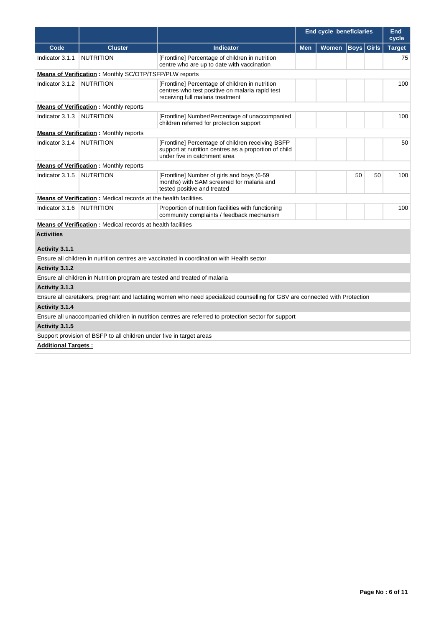|                            |                                                                            |                                                                                                                                            |            | <b>End cycle beneficiaries</b> |              |              | <b>End</b><br>cycle |
|----------------------------|----------------------------------------------------------------------------|--------------------------------------------------------------------------------------------------------------------------------------------|------------|--------------------------------|--------------|--------------|---------------------|
| Code                       | <b>Cluster</b>                                                             | <b>Indicator</b>                                                                                                                           | <b>Men</b> | <b>Women</b>                   | $ $ Boys $ $ | <b>Girls</b> | <b>Target</b>       |
| Indicator 3.1.1            | <b>NUTRITION</b>                                                           | [Frontline] Percentage of children in nutrition<br>centre who are up to date with vaccination                                              |            |                                |              |              | 75                  |
|                            | <b>Means of Verification:</b> Monthly SC/OTP/TSFP/PLW reports              |                                                                                                                                            |            |                                |              |              |                     |
| Indicator 3.1.2            | <b>NUTRITION</b>                                                           | [Frontline] Percentage of children in nutrition<br>centres who test positive on malaria rapid test<br>receiving full malaria treatment     |            |                                |              |              | 100                 |
|                            | <b>Means of Verification:</b> Monthly reports                              |                                                                                                                                            |            |                                |              |              |                     |
| Indicator 3.1.3            | <b>NUTRITION</b>                                                           | [Frontline] Number/Percentage of unaccompanied<br>children referred for protection support                                                 |            |                                |              |              | 100                 |
|                            | <b>Means of Verification:</b> Monthly reports                              |                                                                                                                                            |            |                                |              |              |                     |
| Indicator 3.1.4            | <b>NUTRITION</b>                                                           | [Frontline] Percentage of children receiving BSFP<br>support at nutrition centres as a proportion of child<br>under five in catchment area |            |                                |              |              | 50                  |
|                            | <b>Means of Verification:</b> Monthly reports                              |                                                                                                                                            |            |                                |              |              |                     |
| Indicator 3.1.5            | <b>NUTRITION</b>                                                           | [Frontline] Number of girls and boys (6-59<br>months) with SAM screened for malaria and<br>tested positive and treated                     |            |                                | 50           | 50           | 100                 |
|                            | <b>Means of Verification:</b> Medical records at the health facilities.    |                                                                                                                                            |            |                                |              |              |                     |
| Indicator 3.1.6            | <b>NUTRITION</b>                                                           | Proportion of nutrition facilities with functioning<br>community complaints / feedback mechanism                                           |            |                                |              |              | 100                 |
|                            | Means of Verification : Medical records at health facilities               |                                                                                                                                            |            |                                |              |              |                     |
| <b>Activities</b>          |                                                                            |                                                                                                                                            |            |                                |              |              |                     |
| Activity 3.1.1             |                                                                            |                                                                                                                                            |            |                                |              |              |                     |
|                            |                                                                            | Ensure all children in nutrition centres are vaccinated in coordination with Health sector                                                 |            |                                |              |              |                     |
| Activity 3.1.2             |                                                                            |                                                                                                                                            |            |                                |              |              |                     |
|                            | Ensure all children in Nutrition program are tested and treated of malaria |                                                                                                                                            |            |                                |              |              |                     |
| Activity 3.1.3             |                                                                            |                                                                                                                                            |            |                                |              |              |                     |
|                            |                                                                            | Ensure all caretakers, pregnant and lactating women who need specialized counselling for GBV are connected with Protection                 |            |                                |              |              |                     |
| Activity 3.1.4             |                                                                            |                                                                                                                                            |            |                                |              |              |                     |
|                            |                                                                            | Ensure all unaccompanied children in nutrition centres are referred to protection sector for support                                       |            |                                |              |              |                     |
| Activity 3.1.5             |                                                                            |                                                                                                                                            |            |                                |              |              |                     |
|                            | Support provision of BSFP to all children under five in target areas       |                                                                                                                                            |            |                                |              |              |                     |
| <b>Additional Targets:</b> |                                                                            |                                                                                                                                            |            |                                |              |              |                     |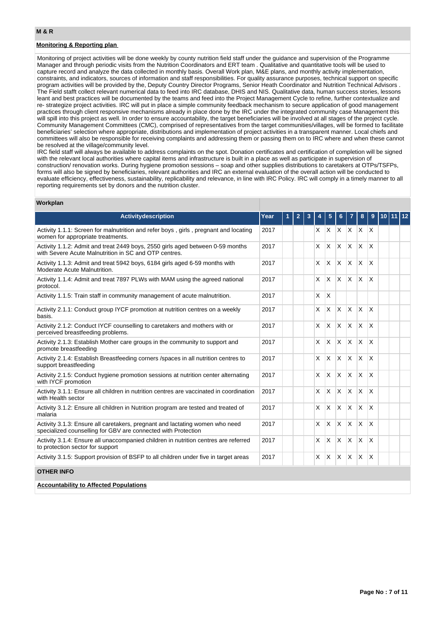### **Monitoring & Reporting plan**

Monitoring of project activities will be done weekly by county nutrition field staff under the guidance and supervision of the Programme Manager and through periodic visits from the Nutrition Coordinators and ERT team . Qualitative and quantitative tools will be used to capture record and analyze the data collected in monthly basis. Overall Work plan, M&E plans, and monthly activity implementation, constraints, and indicators, sources of information and staff responsibilities. For quality assurance purposes, technical support on specific program activities will be provided by the, Deputy Country Director Programs, Senior Heath Coordinator and Nutrition Technical Advisors . The Field stafft collect relevant numerical data to feed into IRC database, DHIS and NIS. Qualitative data, human success stories, lessons leant and best practices will be documented by the teams and feed into the Project Management Cycle to refine, further contextualize and re- strategize project activities. IRC will put in place a simple community feedback mechanism to secure application of good management practices through client responsive mechanisms already in place done by the IRC under the integrated community case Management this will spill into this project as well. In order to ensure accountability, the target beneficiaries will be involved at all stages of the project cycle. Community Management Committees (CMC), comprised of representatives from the target communities/villages, will be formed to facilitate beneficiaries' selection where appropriate, distributions and implementation of project activities in a transparent manner. Local chiefs and committees will also be responsible for receiving complaints and addressing them or passing them on to IRC where and when these cannot be resolved at the village/community level.

IRC field staff will always be available to address complaints on the spot. Donation certificates and certification of completion will be signed with the relevant local authorities where capital items and infrastructure is built in a place as well as participate in supervision of construction/ renovation works. During hygiene promotion sessions – soap and other supplies distributions to caretakers at OTPs/TSFPs, forms will also be signed by beneficiaries, relevant authorities and IRC an external evaluation of the overall action will be conducted to evaluate efficiency, effectiveness, sustainability, replicability and relevance, in line with IRC Policy. IRC will comply in a timely manner to all reporting requirements set by donors and the nutrition cluster.

#### **Workplan**

| <b>Activitydescription</b>                                                                                                                    | Year | 2 | 3 |          | 5                       |              |                 | 8            | 9                       | 10 | 12 |
|-----------------------------------------------------------------------------------------------------------------------------------------------|------|---|---|----------|-------------------------|--------------|-----------------|--------------|-------------------------|----|----|
| Activity 1.1.1: Screen for malnutrition and refer boys, girls, pregnant and locating<br>women for appropriate treatments.                     | 2017 |   |   | X.       | X.                      |              | $X$ $X$ $X$ $X$ |              |                         |    |    |
| Activity 1.1.2: Admit and treat 2449 boys, 2550 girls aged between 0-59 months<br>with Severe Acute Malnutrition in SC and OTP centres.       | 2017 |   |   | X        | X                       | X            | IX.             | <b>X</b>     | X                       |    |    |
| Activity 1.1.3: Admit and treat 5942 boys, 6184 girls aged 6-59 months with<br>Moderate Acute Malnutrition.                                   | 2017 |   |   | X        | X                       | X            | ΙX.             | $\times$     | $\overline{\mathsf{x}}$ |    |    |
| Activity 1.1.4: Admit and treat 7897 PLWs with MAM using the agreed national<br>protocol.                                                     | 2017 |   |   | X        | <b>X</b>                | X            | <b>X</b>        | $\times$     | X                       |    |    |
| Activity 1.1.5: Train staff in community management of acute malnutrition.                                                                    | 2017 |   |   | X        | $\overline{\mathsf{x}}$ |              |                 |              |                         |    |    |
| Activity 2.1.1: Conduct group IYCF promotion at nutrition centres on a weekly<br>basis.                                                       | 2017 |   |   | X        | <b>X</b>                | $\times$     | ΙX.             | X            | $\overline{\mathsf{x}}$ |    |    |
| Activity 2.1.2: Conduct IYCF counselling to caretakers and mothers with or<br>perceived breastfeeding problems.                               | 2017 |   |   | X        | $\overline{\mathsf{x}}$ | X            | $\mathsf{X}$    | ΙX.          | $\overline{\mathsf{x}}$ |    |    |
| Activity 2.1.3: Establish Mother care groups in the community to support and<br>promote breastfeeding                                         | 2017 |   |   | X        | X                       | X            | ΙX.             | $\mathsf{X}$ | $\overline{\mathsf{x}}$ |    |    |
| Activity 2.1.4: Establish Breastfeeding corners / spaces in all nutrition centres to<br>support breastfeeding                                 | 2017 |   |   | X        | <b>X</b>                | X            | ΙX.             | $\mathsf{X}$ | $\overline{\mathsf{x}}$ |    |    |
| Activity 2.1.5: Conduct hygiene promotion sessions at nutrition center alternating<br>with IYCF promotion                                     | 2017 |   |   | X        | <b>X</b>                | ΙX.          | ΙX.             | <b>X</b>     | $\overline{\mathsf{x}}$ |    |    |
| Activity 3.1.1: Ensure all children in nutrition centres are vaccinated in coordination<br>with Health sector                                 | 2017 |   |   | X        | $\mathsf{\chi}$         | $\mathsf{x}$ | $\mathsf{X}$    | $\mathsf{X}$ | $\overline{\mathsf{x}}$ |    |    |
| Activity 3.1.2: Ensure all children in Nutrition program are tested and treated of<br>malaria                                                 | 2017 |   |   | X        | X                       | X            | $\mathsf{X}$    | <b>X</b>     | $\overline{\mathsf{x}}$ |    |    |
| Activity 3.1.3: Ensure all caretakers, pregnant and lactating women who need<br>specialized counselling for GBV are connected with Protection | 2017 |   |   | $\times$ | $\mathsf{x}$            | X            | lx.             | $\times$     | $\mathsf{\chi}$         |    |    |
| Activity 3.1.4: Ensure all unaccompanied children in nutrition centres are referred<br>to protection sector for support                       | 2017 |   |   | X        | X                       | X            | X               | $\times$     | $\mathsf{\chi}$         |    |    |
| Activity 3.1.5: Support provision of BSFP to all children under five in target areas                                                          | 2017 |   |   | X        | $\mathsf{X}$            | $\times$     | IX.             | X            | $\times$                |    |    |
| <b>OTHER INFO</b>                                                                                                                             |      |   |   |          |                         |              |                 |              |                         |    |    |
| <b>Accountability to Affected Populations</b>                                                                                                 |      |   |   |          |                         |              |                 |              |                         |    |    |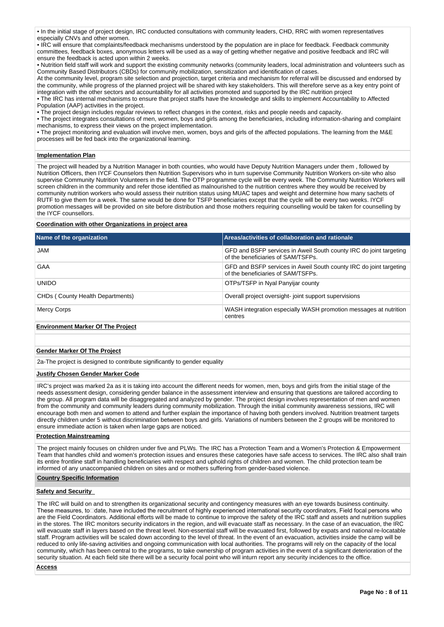• In the initial stage of project design, IRC conducted consultations with community leaders, CHD, RRC with women representatives especially CNVs and other women.

• IRC will ensure that complaints/feedback mechanisms understood by the population are in place for feedback. Feedback community committees, feedback boxes, anonymous letters will be used as a way of getting whether negative and positive feedback and IRC will ensure the feedback is acted upon within 2 weeks.

• Nutrition field staff will work and support the existing community networks (community leaders, local administration and volunteers such as Community Based Distributors (CBDs) for community mobilization, sensitization and identification of cases.

At the community level, program site selection and projection, target criteria and mechanism for referral will be discussed and endorsed by the community, while progress of the planned project will be shared with key stakeholders. This will therefore serve as a key entry point of integration with the other sectors and accountability for all activities promoted and supported by the IRC nutrition project

• The IRC has internal mechanisms to ensure that project staffs have the knowledge and skills to implement Accountability to Affected Population (AAP) activities in the project.

• The project design includes regular reviews to reflect changes in the context, risks and people needs and capacity.

• The project integrates consultations of men, women, boys and girls among the beneficiaries, including information-sharing and complaint mechanisms, to express their views on the project implementation.

• The project monitoring and evaluation will involve men, women, boys and girls of the affected populations. The learning from the M&E processes will be fed back into the organizational learning.

### **Implementation Plan**

The project will headed by a Nutrition Manager in both counties, who would have Deputy Nutrition Managers under them , followed by Nutrition Officers, then IYCF Counselors then Nutrition Supervisors who in turn supervise Community Nutrition Workers on-site who also supervise Community Nutrition Volunteers in the field. The OTP programme cycle will be every week. The Community Nutrition Workers will screen children in the community and refer those identified as malnourished to the nutrition centres where they would be received by community nutrition workers who would assess their nutrition status using MUAC tapes and weight and determine how many sachets of RUTF to give them for a week. The same would be done for TSFP beneficiaries except that the cycle will be every two weeks. IYCF promotion messages will be provided on site before distribution and those mothers requiring counselling would be taken for counselling by the IYCF counsellors.

### **Coordination with other Organizations in project area**

| Name of the organization                 | Areas/activities of collaboration and rationale                                                          |
|------------------------------------------|----------------------------------------------------------------------------------------------------------|
| JAM                                      | GFD and BSFP services in Aweil South county IRC do joint targeting<br>of the beneficiaries of SAM/TSFPs. |
| GAA                                      | GFD and BSFP services in Aweil South county IRC do joint targeting<br>of the beneficiaries of SAM/TSFPs. |
| <b>UNIDO</b>                             | OTPs/TSFP in Nyal Panyijar county                                                                        |
| CHDs (County Health Departments)         | Overall project oversight-joint support supervisions                                                     |
| <b>Mercy Corps</b>                       | WASH integration especially WASH promotion messages at nutrition<br>centres                              |
| <b>Environment Marker Of The Project</b> |                                                                                                          |

### **Gender Marker Of The Project**

2a-The project is designed to contribute significantly to gender equality

#### **Justify Chosen Gender Marker Code**

IRC's project was marked 2a as it is taking into account the different needs for women, men, boys and girls from the initial stage of the needs assessment design, considering gender balance in the assessment interview and ensuring that questions are tailored according to the group. All program data will be disaggregated and analyzed by gender. The project design involves representation of men and women from the community and community leaders during community mobilization. Through the initial community awareness sessions, IRC will encourage both men and women to attend and further explain the importance of having both genders involved. Nutrition treatment targets directly children under 5 without discrimination between boys and girls. Variations of numbers between the 2 groups will be monitored to ensure immediate action is taken when large gaps are noticed.

### **Protection Mainstreaming**

The project mainly focuses on children under five and PLWs. The IRC has a Protection Team and a Women's Protection & Empowerment Team that handles child and women's protection issues and ensures these categories have safe access to services. The IRC also shall train its entire frontline staff in handling beneficiaries with respect and uphold rights of children and women. The child protection team be informed of any unaccompanied children on sites and or mothers suffering from gender-based violence.

#### **Country Specific Information**

#### **Safety and Security**

The IRC will build on and to strengthen its organizational security and contingency measures with an eye towards business continuity. These measures, to dete, have included the recruitment of highly experienced international security coordinators, Field focal persons who are the Field Coordinators. Additional efforts will be made to continue to improve the safety of the IRC staff and assets and nutrition supplies in the stores. The IRC monitors security indicators in the region, and will evacuate staff as necessary. In the case of an evacuation, the IRC will evacuate staff in layers based on the threat level. Non-essential staff will be evacuated first, followed by expats and national re-locatable staff. Program activities will be scaled down according to the level of threat. In the event of an evacuation, activities inside the camp will be reduced to only life-saving activities and ongoing communication with local authorities. The programs will rely on the capacity of the local community, which has been central to the programs, to take ownership of program activities in the event of a significant deterioration of the security situation. At each field site there will be a security focal point who will inturn report any security incidences to the office.

**Access**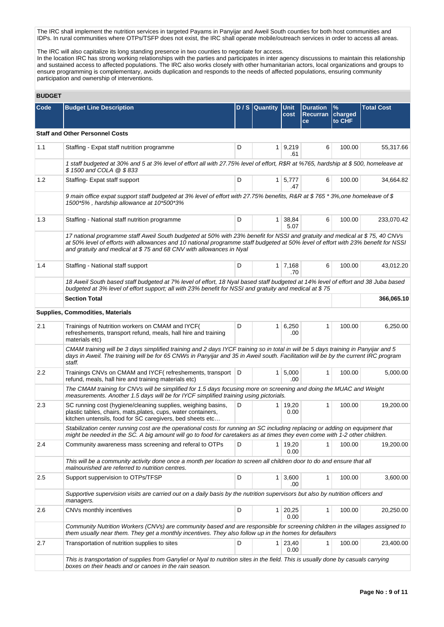The IRC shall implement the nutrition services in targeted Payams in Panyijar and Aweil South counties for both host communities and IDPs. In rural communities where OTPs/TSFP does not exist, the IRC shall operate mobile/outreach services in order to access all areas.

The IRC will also capitalize its long standing presence in two counties to negotiate for access.

In the location IRC has strong working relationships with the parties and participates in inter agency discussions to maintain this relationship and sustained access to affected populations. The IRC also works closely with other humanitarian actors, local organizations and groups to ensure programming is complementary, avoids duplication and responds to the needs of affected populations, ensuring community participation and ownership of interventions.

# **BUDGET**

| ᄓᄖᄖ     |                                                                                                                                                                                                                                                                                                                                        |   |                  |                         |                                          |                                    |                   |
|---------|----------------------------------------------------------------------------------------------------------------------------------------------------------------------------------------------------------------------------------------------------------------------------------------------------------------------------------------|---|------------------|-------------------------|------------------------------------------|------------------------------------|-------------------|
| Code    | <b>Budget Line Description</b>                                                                                                                                                                                                                                                                                                         |   | $D / S$ Quantity | <b>Unit</b><br>cost     | <b>Duration</b><br><b>Recurran</b><br>ce | $\frac{9}{6}$<br>charged<br>to CHF | <b>Total Cost</b> |
|         | <b>Staff and Other Personnel Costs</b>                                                                                                                                                                                                                                                                                                 |   |                  |                         |                                          |                                    |                   |
| 1.1     | Staffing - Expat staff nutrition programme                                                                                                                                                                                                                                                                                             | D |                  | $1 \mid 9,219$<br>.61   | 6                                        | 100.00                             | 55,317.66         |
|         | 1 staff budgeted at 30% and 5 at 3% level of effort all with 27.75% level of effort, R\$R at %765, hardship at \$500, homeleave at<br>\$1500 and COLA @ \$833                                                                                                                                                                          |   |                  |                         |                                          |                                    |                   |
| 1.2     | Staffing-Expat staff support                                                                                                                                                                                                                                                                                                           | D |                  | $1 \mid 5,777$<br>.47   | 6                                        | 100.00                             | 34,664.82         |
|         | 9 main office expat support staff budgeted at 3% level of effort with 27.75% benefits, R&R at \$765 *3%, one homeleave of \$<br>1500*5%, hardship allowance at 10*500*3%                                                                                                                                                               |   |                  |                         |                                          |                                    |                   |
| 1.3     | Staffing - National staff nutrition programme                                                                                                                                                                                                                                                                                          | D |                  | 1 38,84<br>5.07         | 6                                        | 100.00                             | 233,070.42        |
|         | 17 national programme staff Aweil South budgeted at 50% with 23% benefit for NSSI and gratuity and medical at \$75,40 CNVs<br>at 50% level of efforts with allowances and 10 national programme staff budgeted at 50% level of effort with 23% benefit for NSSI<br>and gratuity and medical at \$75 and 68 CNV with allowances in Nyal |   |                  |                         |                                          |                                    |                   |
| 1.4     | Staffing - National staff support                                                                                                                                                                                                                                                                                                      | D |                  | $1 \mid 7,168$<br>.70   | 6                                        | 100.00                             | 43,012.20         |
|         | 18 Aweil South based staff budgeted at 7% level of effort, 18 Nyal based staff budgeted at 14% level of effort and 38 Juba based<br>budgeted at 3% level of effort support; all with 23% benefit for NSSI and gratuity and medical at \$75                                                                                             |   |                  |                         |                                          |                                    |                   |
|         | <b>Section Total</b>                                                                                                                                                                                                                                                                                                                   |   |                  |                         |                                          |                                    | 366,065.10        |
|         | <b>Supplies, Commodities, Materials</b>                                                                                                                                                                                                                                                                                                |   |                  |                         |                                          |                                    |                   |
| 2.1     | Trainings of Nutrition workers on CMAM and IYCF(<br>refreshements, transport refund, meals, hall hire and training<br>materials etc)                                                                                                                                                                                                   | D |                  | $1 \, 6,250$<br>.00     | 1                                        | 100.00                             | 6,250.00          |
|         | CMAM training will be 3 days simplified training and 2 days IYCF training so in total in will be 5 days training in Panyijar and 5<br>days in Aweil. The training will be for 65 CNWs in Panyijar and 35 in Aweil south. Facilitation will be by the current IRC program<br>staff.                                                     |   |                  |                         |                                          |                                    |                   |
| $2.2\,$ | Trainings CNVs on CMAM and IYCF (refreshements, transport<br>refund, meals, hall hire and training materials etc)                                                                                                                                                                                                                      | D |                  | 1 5,000<br>.00          | 1                                        | 100.00                             | 5,000.00          |
|         | The CMAM training for CNVs will be simplified for 1.5 days focusing more on screening and doing the MUAC and Weight<br>measurements. Another 1.5 days will be for IYCF simplified training using pictorials.                                                                                                                           |   |                  |                         |                                          |                                    |                   |
| 2.3     | SC running cost (hygiene/cleaning supplies, weighing basins,<br>plastic tables, chairs, mats, plates, cups, water containers,<br>kitchen untensils, food for SC caregivers, bed sheets etc                                                                                                                                             | D |                  | $1 \mid 19,20$<br>0.00  | 1                                        | 100.00                             | 19,200.00         |
|         | Stabilization center running cost are the operational costs for running an SC including replacing or adding on equipment that<br>might be needed in the SC. A big amount will go to food for caretakers as at times they even come with 1-2 other children.                                                                            |   |                  |                         |                                          |                                    |                   |
| 2.4     | Community awareness mass screening and referal to OTPs                                                                                                                                                                                                                                                                                 | D | 1 <sup>1</sup>   | 19,20<br>0.00           | 1                                        | 100.00                             | 19,200.00         |
|         | This will be a community activity done once a month per location to screen all children door to do and ensure that all<br>malnourished are referred to nutrition centres.                                                                                                                                                              |   |                  |                         |                                          |                                    |                   |
| 2.5     | Support suppervision to OTPs/TFSP                                                                                                                                                                                                                                                                                                      | D |                  | $1 \, 3,600$<br>.00     | 1                                        | 100.00                             | 3,600.00          |
|         | Supportive supervision visits are carried out on a daily basis by the nutrition supervisors but also by nutrition officers and<br>managers.                                                                                                                                                                                            |   |                  |                         |                                          |                                    |                   |
| 2.6     | CNVs monthly incentives                                                                                                                                                                                                                                                                                                                | D |                  | $1 \mid 20,25$<br>0.00  | 1                                        | 100.00                             | 20,250.00         |
|         | Community Nutrition Workers (CNVs) are community based and are responsible for screening children in the villages assigned to<br>them usually near them. They get a monthly incentives. They also follow up in the homes for defaulters                                                                                                |   |                  |                         |                                          |                                    |                   |
| 2.7     | Transportation of nutrition supplies to sites                                                                                                                                                                                                                                                                                          | D |                  | $1 \quad 23,40$<br>0.00 | 1                                        | 100.00                             | 23,400.00         |
|         | This is transportation of supplies from Ganyliel or Nyal to nutrition sites in the field. This is usually done by casuals carrying<br>boxes on their heads and or canoes in the rain season.                                                                                                                                           |   |                  |                         |                                          |                                    |                   |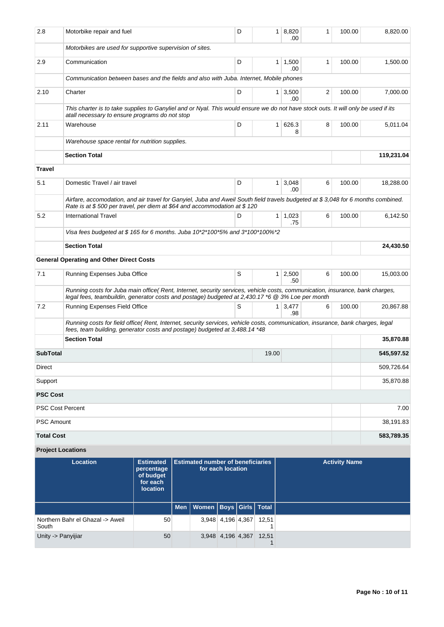| 2.8               | Motorbike repair and fuel                                                                                                                                                                                                         | D | $\mathbf{1}$   | 8,820<br>.00           | 1                       | 100.00 | 8,820.00   |
|-------------------|-----------------------------------------------------------------------------------------------------------------------------------------------------------------------------------------------------------------------------------|---|----------------|------------------------|-------------------------|--------|------------|
|                   | Motorbikes are used for supportive supervision of sites.                                                                                                                                                                          |   |                |                        |                         |        |            |
| 2.9               | Communication                                                                                                                                                                                                                     | D |                | $1 \mid 1,500$<br>.00  | 1                       | 100.00 | 1,500.00   |
|                   | Communication between bases and the fields and also with Juba. Internet, Mobile phones                                                                                                                                            |   |                |                        |                         |        |            |
| 2.10              | Charter                                                                                                                                                                                                                           | D |                | $1 \mid 3,500$<br>.00  | $\overline{\mathbf{c}}$ | 100.00 | 7,000.00   |
|                   | This charter is to take supplies to Ganyliel and or Nyal. This would ensure we do not have stock outs. It will only be used if its<br>atall necessary to ensure programs do not stop                                              |   |                |                        |                         |        |            |
| 2.11              | Warehouse                                                                                                                                                                                                                         | D | 1 <sup>1</sup> | 626.3<br>8             | 8                       | 100.00 | 5,011.04   |
|                   | Warehouse space rental for nutrition supplies.                                                                                                                                                                                    |   |                |                        |                         |        |            |
|                   | <b>Section Total</b>                                                                                                                                                                                                              |   |                |                        |                         |        | 119,231.04 |
| Travel            |                                                                                                                                                                                                                                   |   |                |                        |                         |        |            |
| 5.1               | Domestic Travel / air travel                                                                                                                                                                                                      | D | 1 <sup>1</sup> | 3,048<br>.00           | 6                       | 100.00 | 18,288.00  |
|                   | Airfare, accomodation, and air travel for Ganyiel, Juba and Aweil South field travels budgeted at \$3,048 for 6 months combined.<br>Rate is at \$500 per travel, per diem at \$64 and accommodation at \$120                      |   |                |                        |                         |        |            |
| 5.2               | <b>International Travel</b>                                                                                                                                                                                                       | D |                | $1 \quad 1.023$<br>.75 | 6                       | 100.00 | 6,142.50   |
|                   | Visa fees budgeted at \$165 for 6 months. Juba $10*2*100*5%$ and $3*100*100*2$                                                                                                                                                    |   |                |                        |                         |        |            |
|                   | <b>Section Total</b>                                                                                                                                                                                                              |   |                |                        |                         |        | 24,430.50  |
|                   | <b>General Operating and Other Direct Costs</b>                                                                                                                                                                                   |   |                |                        |                         |        |            |
| 7.1               | Running Expenses Juba Office                                                                                                                                                                                                      | S |                | $1 \mid 2,500$<br>.50  | 6                       | 100.00 | 15,003.00  |
|                   | Running costs for Juba main office( Rent, Internet, security services, vehicle costs, communication, insurance, bank charges,<br>legal fees, teambuildin, generator costs and postage) budgeted at 2,430.17 *6 @ 3% Loe per month |   |                |                        |                         |        |            |
| 7.2               | Running Expenses Field Office                                                                                                                                                                                                     | S |                | $1 \mid 3,477$<br>.98  | 6                       | 100.00 | 20,867.88  |
|                   | Running costs for field office( Rent, Internet, security services, vehicle costs, communication, insurance, bank charges, legal<br>fees, team building, generator costs and postage) budgeted at 3,488.14 *48                     |   |                |                        |                         |        |            |
|                   | <b>Section Total</b>                                                                                                                                                                                                              |   |                |                        |                         |        | 35,870.88  |
| <b>SubTotal</b>   |                                                                                                                                                                                                                                   |   | 19.00          |                        |                         |        | 545,597.52 |
| Direct            |                                                                                                                                                                                                                                   |   |                |                        |                         |        | 509,726.64 |
| Support           |                                                                                                                                                                                                                                   |   |                |                        |                         |        | 35,870.88  |
| <b>PSC Cost</b>   |                                                                                                                                                                                                                                   |   |                |                        |                         |        |            |
|                   | PSC Cost Percent                                                                                                                                                                                                                  |   |                |                        |                         |        | 7.00       |
| PSC Amount        |                                                                                                                                                                                                                                   |   |                |                        |                         |        | 38,191.83  |
| <b>Total Cost</b> |                                                                                                                                                                                                                                   |   |                |                        |                         |        | 583,789.35 |

# **Project Locations**

| <b>Location</b>                           | <b>Estimated</b><br>percentage<br>of budget<br>for each<br><b>location</b> | <b>Estimated number of beneficiaries</b><br>for each location |                                    |                         |       | <b>Activity Name</b> |
|-------------------------------------------|----------------------------------------------------------------------------|---------------------------------------------------------------|------------------------------------|-------------------------|-------|----------------------|
|                                           |                                                                            |                                                               | Men   Women   Boys   Girls   Total |                         |       |                      |
| Northern Bahr el Ghazal -> Aweil<br>South | 50                                                                         |                                                               |                                    | 3,948 4,196 4,367       | 12,51 |                      |
| Unity -> Panyijiar                        | 50                                                                         |                                                               |                                    | 3,948 4,196 4,367 12,51 |       |                      |